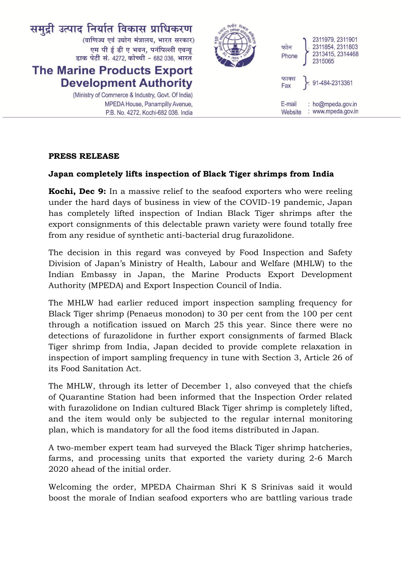

## **PRESS RELEASE**

## **Japan completely lifts inspection of Black Tiger shrimps from India**

**Kochi, Dec 9:** In a massive relief to the seafood exporters who were reeling under the hard days of business in view of the COVID-19 pandemic, Japan has completely lifted inspection of Indian Black Tiger shrimps after the export consignments of this delectable prawn variety were found totally free from any residue of synthetic anti-bacterial drug furazolidone.

The decision in this regard was conveyed by Food Inspection and Safety Division of Japan's Ministry of Health, Labour and Welfare (MHLW) to the Indian Embassy in Japan, the Marine Products Export Development Authority (MPEDA) and Export Inspection Council of India.

The MHLW had earlier reduced import inspection sampling frequency for Black Tiger shrimp (Penaeus monodon) to 30 per cent from the 100 per cent through a notification issued on March 25 this year. Since there were no detections of furazolidone in further export consignments of farmed Black Tiger shrimp from India, Japan decided to provide complete relaxation in inspection of import sampling frequency in tune with Section 3, Article 26 of its Food Sanitation Act.

The MHLW, through its letter of December 1, also conveyed that the chiefs of Quarantine Station had been informed that the Inspection Order related with furazolidone on Indian cultured Black Tiger shrimp is completely lifted, and the item would only be subjected to the regular internal monitoring plan, which is mandatory for all the food items distributed in Japan.

A two-member expert team had surveyed the Black Tiger shrimp hatcheries, farms, and processing units that exported the variety during 2-6 March 2020 ahead of the initial order.

Welcoming the order, MPEDA Chairman Shri K S Srinivas said it would boost the morale of Indian seafood exporters who are battling various trade